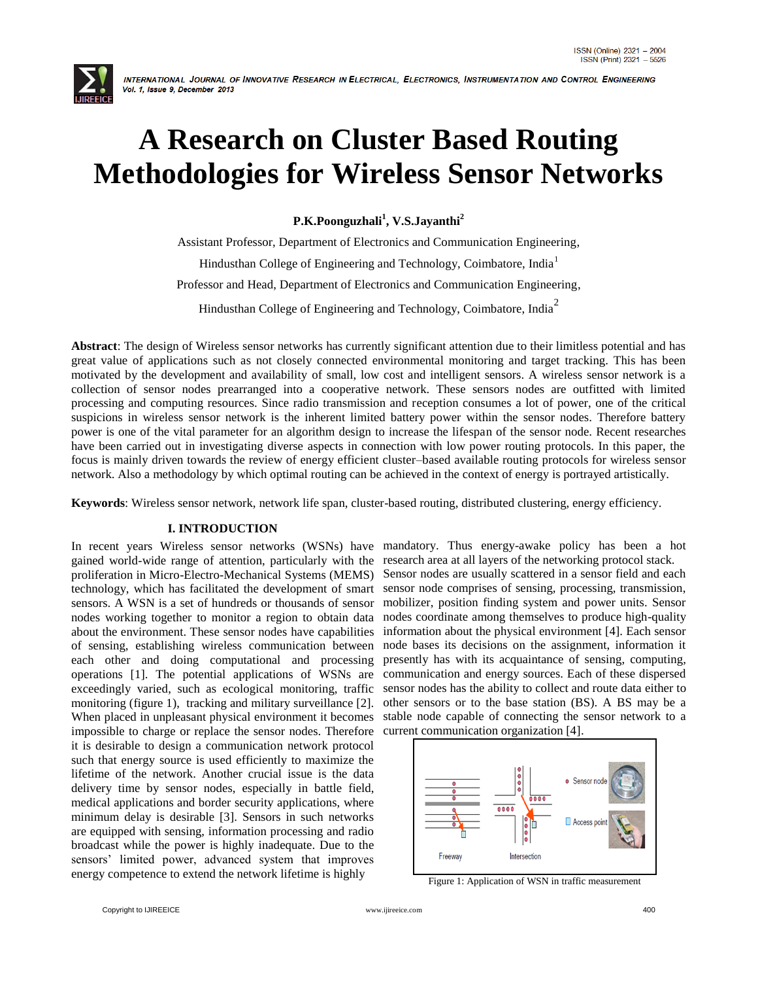

# **A Research on Cluster Based Routing Methodologies for Wireless Sensor Networks**

**P.K.Poonguzhali<sup>1</sup> , V.S.Jayanthi<sup>2</sup>**

Assistant Professor, Department of Electronics and Communication Engineering, Hindusthan College of Engineering and Technology, Coimbatore, India<sup>1</sup> Professor and Head, Department of Electronics and Communication Engineering, Hindusthan College of Engineering and Technology, Coimbatore, India<sup>2</sup>

**Abstract**: The design of Wireless sensor networks has currently significant attention due to their limitless potential and has great value of applications such as not closely connected environmental monitoring and target tracking. This has been motivated by the development and availability of small, low cost and intelligent sensors. A wireless sensor network is a collection of sensor nodes prearranged into a cooperative network. These sensors nodes are outfitted with limited processing and computing resources. Since radio transmission and reception consumes a lot of power, one of the critical suspicions in wireless sensor network is the inherent limited battery power within the sensor nodes. Therefore battery power is one of the vital parameter for an algorithm design to increase the lifespan of the sensor node. Recent researches have been carried out in investigating diverse aspects in connection with low power routing protocols. In this paper, the focus is mainly driven towards the review of energy efficient cluster–based available routing protocols for wireless sensor network. Also a methodology by which optimal routing can be achieved in the context of energy is portrayed artistically.

**Keywords**: Wireless sensor network, network life span, cluster-based routing, distributed clustering, energy efficiency.

# **I. INTRODUCTION**

In recent years Wireless sensor networks (WSNs) have mandatory. Thus energy-awake policy has been a hot gained world-wide range of attention, particularly with the research area at all layers of the networking protocol stack. proliferation in Micro-Electro-Mechanical Systems (MEMS) technology, which has facilitated the development of smart sensors. A WSN is a set of hundreds or thousands of sensor nodes working together to monitor a region to obtain data about the environment. These sensor nodes have capabilities of sensing, establishing wireless communication between each other and doing computational and processing operations [1]. The potential applications of WSNs are exceedingly varied, such as ecological monitoring, traffic monitoring (figure 1), tracking and military surveillance [2]. When placed in unpleasant physical environment it becomes impossible to charge or replace the sensor nodes. Therefore it is desirable to design a communication network protocol such that energy source is used efficiently to maximize the lifetime of the network. Another crucial issue is the data delivery time by sensor nodes, especially in battle field, medical applications and border security applications, where minimum delay is desirable [3]. Sensors in such networks are equipped with sensing, information processing and radio broadcast while the power is highly inadequate. Due to the sensors" limited power, advanced system that improves energy competence to extend the network lifetime is highly

Sensor nodes are usually scattered in a sensor field and each sensor node comprises of sensing, processing, transmission, mobilizer, position finding system and power units. Sensor nodes coordinate among themselves to produce high-quality information about the physical environment [4]. Each sensor node bases its decisions on the assignment, information it presently has with its acquaintance of sensing, computing, communication and energy sources. Each of these dispersed sensor nodes has the ability to collect and route data either to other sensors or to the base station (BS). A BS may be a stable node capable of connecting the sensor network to a current communication organization [4].



Figure 1: Application of WSN in traffic measurement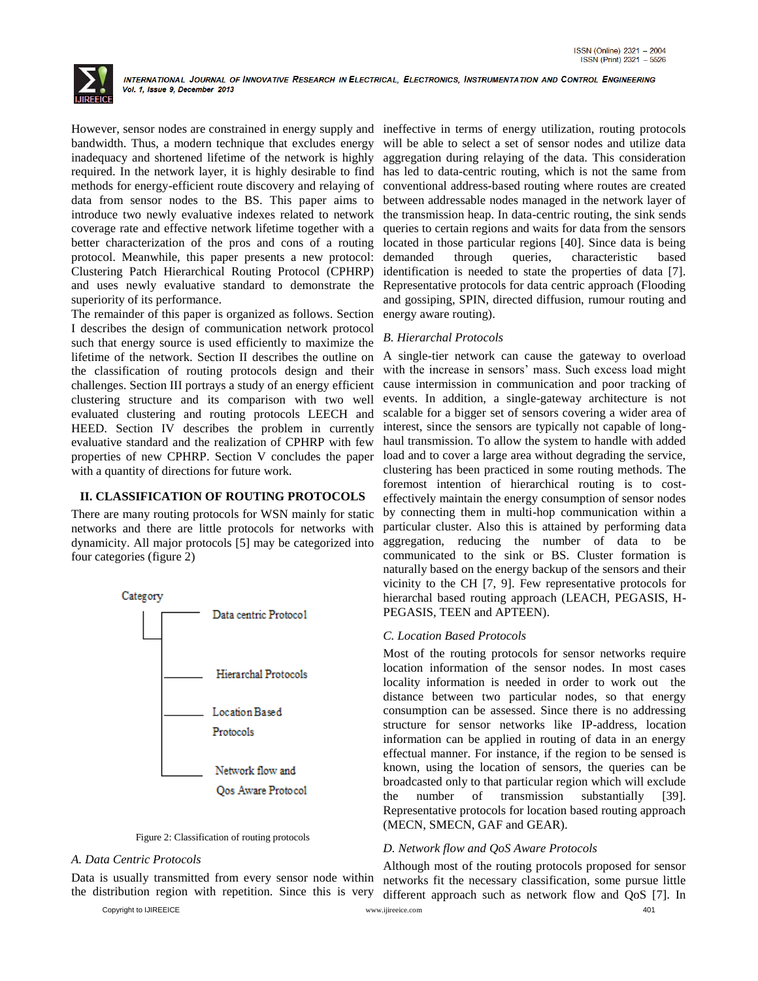

However, sensor nodes are constrained in energy supply and ineffective in terms of energy utilization, routing protocols bandwidth. Thus, a modern technique that excludes energy [inadequacy](http://www.wordhippo.com/what-is/another-word-for/inadequacy.html) and shortened lifetime of the network is highly required. In the network layer, it is highly desirable to find methods for energy-efficient route discovery and relaying of data from sensor nodes to the BS. This paper aims to introduce two newly evaluative indexes related to network coverage rate and effective network lifetime together with a better characterization of the pros and cons of a routing protocol. Meanwhile, this paper presents a new protocol: Clustering Patch Hierarchical Routing Protocol (CPHRP) and uses newly evaluative standard to demonstrate the superiority of its performance.

The remainder of this paper is organized as follows. Section I describes the design of communication network protocol such that energy source is used efficiently to maximize the lifetime of the network. Section II describes the outline on the classification of routing protocols design and their challenges. Section III portrays a study of an energy efficient clustering structure and its comparison with two well evaluated clustering and routing protocols LEECH and HEED. Section IV describes the problem in currently evaluative standard and the realization of CPHRP with few properties of new CPHRP. Section V concludes the paper with a quantity of directions for future work.

# **II. CLASSIFICATION OF ROUTING PROTOCOLS**

There are many routing protocols for WSN mainly for static networks and there are little protocols for networks with dynamicity. All major protocols [5] may be categorized into four categories (figure 2)





# *A. Data Centric Protocols*

Data is usually transmitted from every sensor node within the distribution region with repetition. Since this is very

Copyright to IJIREEICE [www.ijireeice.com](http://www.ijireeice.com/) 401

will be able to select a set of sensor nodes and utilize data aggregation during relaying of the data. This consideration has led to data-centric routing, which is not the same from conventional address-based routing where routes are created between addressable nodes managed in the network layer of the transmission heap. In data-centric routing, the sink sends queries to certain regions and waits for data from the sensors located in those particular regions [40]. Since data is being demanded through queries, [characteristic](http://www.wordhippo.com/what-is/another-word-for/characteristic.html) based identification is needed to state the properties of data [7]. Representative protocols for data centric approach (Flooding and gossiping, SPIN, directed diffusion, rumour routing and energy aware routing).

# *B. Hierarchal Protocols*

A single-tier network can cause the gateway to overload with the increase in sensors' mass. Such excess load might cause intermission in communication and poor tracking of events. In addition, a single-gateway architecture is not scalable for a bigger set of sensors covering a wider area of interest, since the sensors are typically not capable of longhaul transmission. To allow the system to handle with added load and to cover a large area without degrading the service, clustering has been practiced in some routing methods. The foremost intention of hierarchical routing is to costeffectively maintain the energy consumption of sensor nodes by connecting them in multi-hop communication within a particular cluster. Also this is attained by performing data aggregation, reducing the number of data to be communicated to the sink or BS. Cluster formation is naturally based on the energy backup of the sensors and their vicinity to the CH [7, 9]. Few representative protocols for hierarchal based routing approach (LEACH, PEGASIS, H-PEGASIS, TEEN and APTEEN).

# *C. Location Based Protocols*

Most of the routing protocols for sensor networks require location information of the sensor nodes. In most cases locality information is needed in order to work out the distance between two particular nodes, so that energy consumption can be assessed. Since there is no addressing structure for sensor networks like IP-address, location information can be applied in routing of data in an energy effectual manner. For instance, if the region to be sensed is known, using the location of sensors, the queries can be broadcasted only to that particular region which will exclude the number of transmission substantially [39]. Representative protocols for location based routing approach (MECN, SMECN, GAF and GEAR).

# *D. Network flow and QoS Aware Protocols*

Although most of the routing protocols proposed for sensor networks fit the necessary classification, some pursue little different approach such as network flow and QoS [7]. In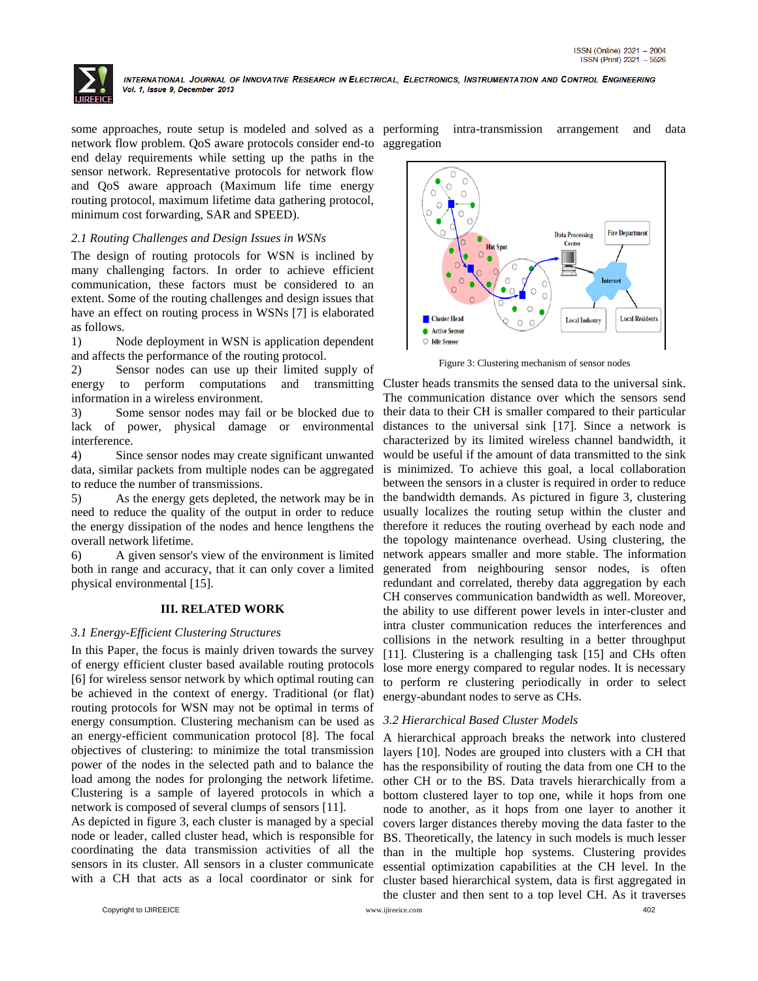

some approaches, route setup is modeled and solved as a performing network flow problem. QoS aware protocols consider end-to aggregation end delay requirements while setting up the paths in the sensor network. Representative protocols for network flow and QoS aware approach (Maximum life time energy routing protocol, maximum lifetime data gathering protocol, minimum cost forwarding, SAR and SPEED).

# *2.1 Routing Challenges and Design Issues in WSNs*

The design of routing protocols for WSN is inclined by many challenging factors. In order to achieve efficient communication, these factors must be considered to an extent. Some of the routing challenges and design issues that have an effect on routing process in WSNs [7] is elaborated as follows.

1) Node deployment in WSN is application dependent and affects the performance of the routing protocol.

2) Sensor nodes can use up their limited supply of energy to perform computations and transmitting information in a wireless environment.

3) Some sensor nodes may fail or be blocked due to lack of power, physical damage or environmental interference.

4) Since sensor nodes may create significant unwanted data, similar packets from multiple nodes can be aggregated to reduce the number of transmissions.

5) As the energy gets depleted, the network may be in need to reduce the quality of the output in order to reduce the energy dissipation of the nodes and hence lengthens the overall network lifetime.

6) A given sensor's view of the environment is limited both in range and accuracy, that it can only cover a limited physical environmental [15].

# **III. RELATED WORK**

# *3.1 Energy-Efficient Clustering Structures*

In this Paper, the focus is mainly driven towards the survey of energy efficient cluster based available routing protocols [6] for wireless sensor network by which optimal routing can be achieved in the context of energy. Traditional (or flat) routing protocols for WSN may not be optimal in terms of energy consumption. Clustering mechanism can be used as an energy-efficient communication protocol [8]. The focal objectives of clustering: to minimize the total transmission power of the nodes in the selected path and to balance the load among the nodes for prolonging the network lifetime. Clustering is a sample of layered protocols in which a network is composed of several clumps of sensors [11].

As depicted in figure 3, each cluster is managed by a special node or leader, called cluster head, which is responsible for coordinating the data transmission activities of all the sensors in its cluster. All sensors in a cluster communicate with a CH that acts as a local coordinator or sink for intra-transmission arrangement and data



Figure 3: Clustering mechanism of sensor nodes

Cluster heads transmits the sensed data to the universal sink. The communication distance over which the sensors send their data to their CH is smaller compared to their particular distances to the universal sink [17]. Since a network is characterized by its limited wireless channel bandwidth, it would be useful if the amount of data transmitted to the sink is minimized. To achieve this goal, a local collaboration between the sensors in a cluster is required in order to reduce the bandwidth demands. As pictured in figure 3, clustering usually localizes the routing setup within the cluster and therefore it reduces the routing overhead by each node and the topology maintenance overhead. Using clustering, the network appears smaller and more stable. The information generated from neighbouring sensor nodes, is often redundant and correlated, thereby data aggregation by each CH conserves communication bandwidth as well. Moreover, the ability to use different power levels in inter-cluster and intra cluster communication reduces the interferences and collisions in the network resulting in a better throughput [11]. Clustering is a challenging task [15] and CHs often lose more energy compared to regular nodes. It is necessary to perform re clustering periodically in order to select energy-abundant nodes to serve as CHs.

# *3.2 Hierarchical Based Cluster Models*

A hierarchical approach breaks the network into clustered layers [10]. Nodes are grouped into clusters with a CH that has the responsibility of routing the data from one CH to the other CH or to the BS. Data travels hierarchically from a bottom clustered layer to top one, while it hops from one node to another, as it hops from one layer to another it covers larger distances thereby moving the data faster to the BS. Theoretically, the latency in such models is much lesser than in the multiple hop systems. Clustering provides essential optimization capabilities at the CH level. In the cluster based hierarchical system, data is first aggregated in the cluster and then sent to a top level CH. As it traverses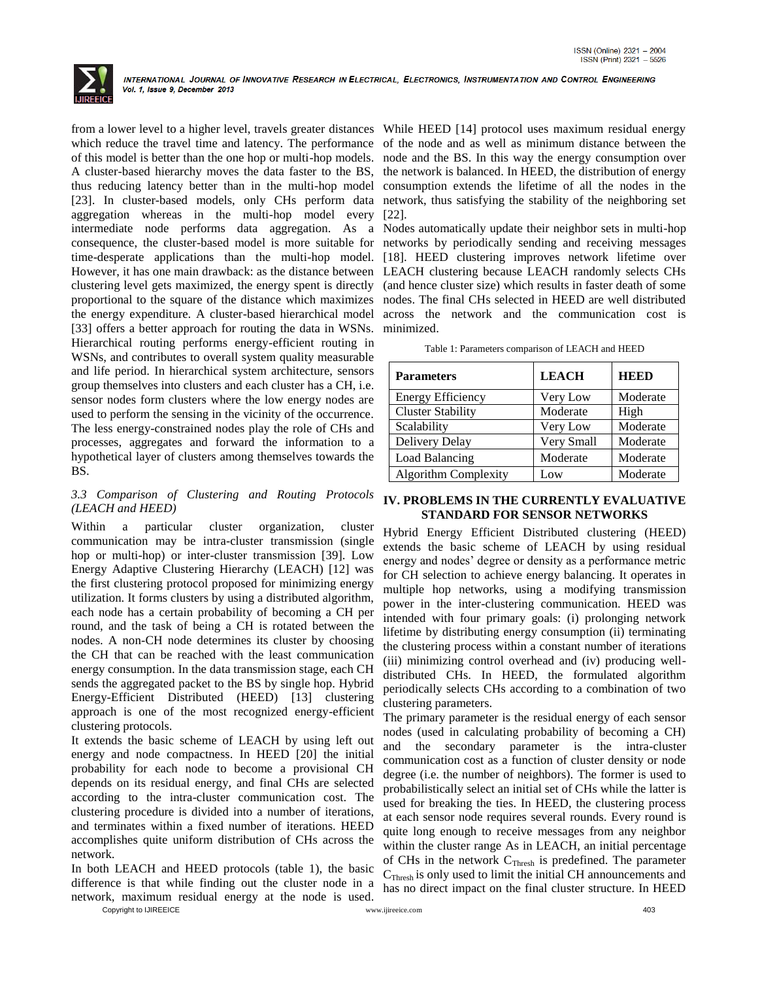

from a lower level to a higher level, travels greater distances While HEED [14] protocol uses maximum residual energy which reduce the travel time and latency. The performance of the node and as well as minimum distance between the of this model is better than the one hop or multi-hop models. node and the BS. In this way the energy consumption over A cluster-based hierarchy moves the data faster to the BS, the network is balanced. In HEED, the distribution of energy thus reducing latency better than in the multi-hop model consumption extends the lifetime of all the nodes in the [23]. In cluster-based models, only CHs perform data network, thus satisfying the stability of the neighboring set aggregation whereas in the multi-hop model every [22]. intermediate node performs data aggregation. As a Nodes automatically update their neighbor sets in multi-hop consequence, the cluster-based model is more suitable for networks by periodically sending and receiving messages time-desperate applications than the multi-hop model. [18]. HEED clustering improves network lifetime over However, it has one main drawback: as the distance between LEACH clustering because LEACH randomly selects CHs clustering level gets maximized, the energy spent is directly (and hence cluster size) which results in faster death of some proportional to the square of the distance which maximizes nodes. The final CHs selected in HEED are well distributed the energy expenditure. A cluster-based hierarchical model across the network and the communication cost is [33] offers a better approach for routing the data in WSNs. minimized. Hierarchical routing performs energy-efficient routing in WSNs, and contributes to overall system quality measurable and life period. In hierarchical system architecture, sensors group themselves into clusters and each cluster has a CH, i.e. sensor nodes form clusters where the low energy nodes are used to perform the sensing in the vicinity of the occurrence. The less energy-constrained nodes play the role of CHs and processes, aggregates and forward the information to a hypothetical layer of clusters among themselves towards the **BS**.

# *3.3 Comparison of Clustering and Routing Protocols (LEACH and HEED)*

Within a particular cluster organization, cluster communication may be intra-cluster transmission (single hop or multi-hop) or inter-cluster transmission [39]. Low Energy Adaptive Clustering Hierarchy (LEACH) [12] was the first clustering protocol proposed for minimizing energy utilization. It forms clusters by using a distributed algorithm, each node has a certain probability of becoming a CH per round, and the task of being a CH is rotated between the nodes. A non-CH node determines its cluster by choosing the CH that can be reached with the least communication energy consumption. In the data transmission stage, each CH sends the aggregated packet to the BS by single hop. Hybrid Energy-Efficient Distributed (HEED) [13] clustering approach is one of the most recognized energy-efficient clustering protocols.

It extends the basic scheme of LEACH by using left out energy and node compactness. In HEED [20] the initial probability for each node to become a provisional CH depends on its residual energy, and final CHs are selected according to the intra-cluster communication cost. The clustering procedure is divided into a number of iterations, and terminates within a fixed number of iterations. HEED accomplishes quite uniform distribution of CHs across the network.

In both LEACH and HEED protocols (table 1), the basic difference is that while finding out the cluster node in a network, maximum residual energy at the node is used.

| Table 1: Parameters comparison of LEACH and HEED |  |  |  |
|--------------------------------------------------|--|--|--|
|--------------------------------------------------|--|--|--|

| <b>Parameters</b>           | <b>LEACH</b> | HEBED    |
|-----------------------------|--------------|----------|
| <b>Energy Efficiency</b>    | Very Low     | Moderate |
| <b>Cluster Stability</b>    | Moderate     | High     |
| Scalability                 | Very Low     | Moderate |
| Delivery Delay              | Very Small   | Moderate |
| Load Balancing              | Moderate     | Moderate |
| <b>Algorithm Complexity</b> | Low          | Moderate |

# **IV. PROBLEMS IN THE CURRENTLY EVALUATIVE STANDARD FOR SENSOR NETWORKS**

Hybrid Energy Efficient Distributed clustering (HEED) extends the basic scheme of LEACH by using residual energy and nodes" degree or density as a performance metric for CH selection to achieve energy balancing. It operates in multiple hop networks, using a modifying transmission power in the inter-clustering communication. HEED was intended with four primary goals: (i) prolonging network lifetime by distributing energy consumption (ii) terminating the clustering process within a constant number of iterations (iii) minimizing control overhead and (iv) producing welldistributed CHs. In HEED, the formulated algorithm periodically selects CHs according to a combination of two clustering parameters.

The primary parameter is the residual energy of each sensor nodes (used in calculating probability of becoming a CH) and the secondary parameter is the intra-cluster communication cost as a function of cluster density or node degree (i.e. the number of neighbors). The former is used to probabilistically select an initial set of CHs while the latter is used for breaking the ties. In HEED, the clustering process at each sensor node requires several rounds. Every round is quite long enough to receive messages from any neighbor within the cluster range As in LEACH, an initial percentage of CHs in the network  $C<sub>Thresh</sub>$  is predefined. The parameter  $C<sub>Thresh</sub>$  is only used to limit the initial CH announcements and has no direct impact on the final cluster structure. In HEED

Copyright to IJIREEICE [www.ijireeice.com](http://www.ijireeice.com/) 403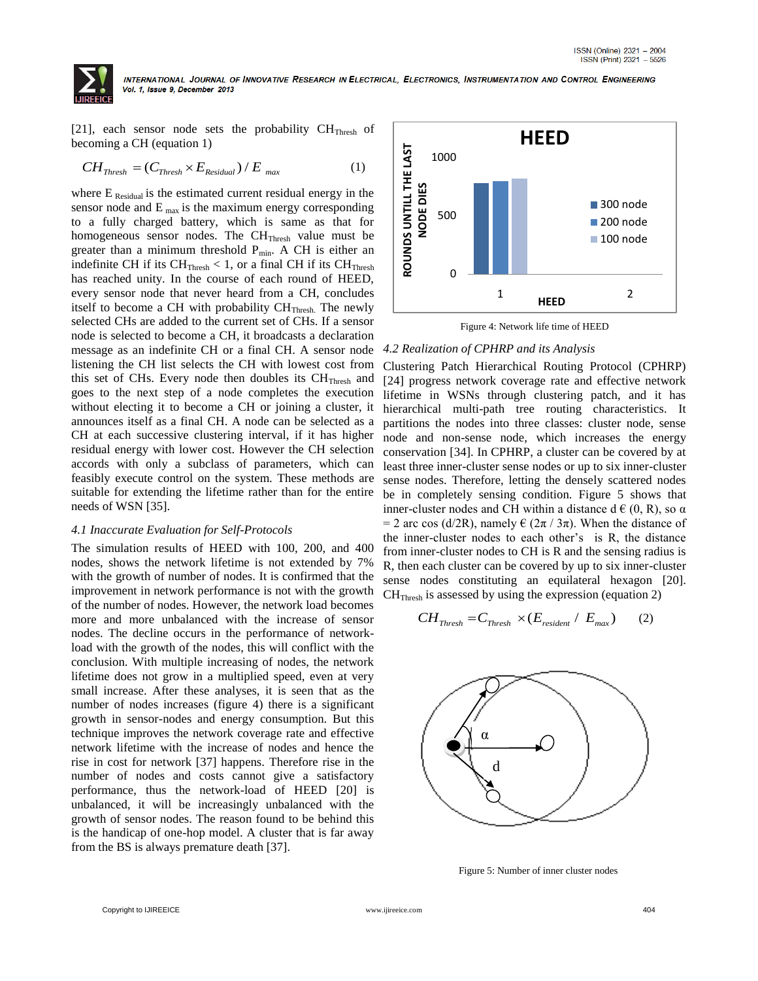

[21], each sensor node sets the probability  $CH<sub>Thresh</sub>$  of

becoming a CH (equation 1)  
\n
$$
CH_{Thresh} = (C_{Thresh} \times E_{Residual}) / E_{max}
$$
 (1)

where  $E_{\text{Residual}}$  is the estimated current residual energy in the sensor node and  $E_{\text{max}}$  is the maximum energy corresponding to a fully charged battery, which is same as that for homogeneous sensor nodes. The  $CH<sub>Thresh</sub>$  value must be greater than a minimum threshold  $P_{min}$ . A CH is either an indefinite CH if its  $CH_{Thresh} < 1$ , or a final CH if its  $CH_{Thresh}$ has reached unity. In the course of each round of HEED, every sensor node that never heard from a CH, concludes itself to become a CH with probability CH<sub>Thresh</sub>. The newly selected CHs are added to the current set of CHs. If a sensor node is selected to become a CH, it broadcasts a declaration message as an indefinite CH or a final CH. A sensor node listening the CH list selects the CH with lowest cost from this set of CHs. Every node then doubles its  $CH<sub>Thresh</sub>$  and goes to the next step of a node completes the execution without electing it to become a CH or joining a cluster, it announces itself as a final CH. A node can be selected as a CH at each successive clustering interval, if it has higher residual energy with lower cost. However the CH selection accords with only a subclass of parameters, which can feasibly execute control on the system. These methods are suitable for extending the lifetime rather than for the entire needs of WSN [35].

### *4.1 Inaccurate Evaluation for Self-Protocols*

The simulation results of HEED with 100, 200, and 400 nodes, shows the network lifetime is not extended by 7% with the growth of number of nodes. It is confirmed that the improvement in network performance is not with the growth of the number of nodes. However, the network load becomes more and more unbalanced with the increase of sensor nodes. The decline occurs in the performance of networkload with the growth of the nodes, this will conflict with the conclusion. With multiple increasing of nodes, the network lifetime does not grow in a multiplied speed, even at very small increase. After these analyses, it is seen that as the number of nodes increases (figure 4) there is a significant growth in sensor-nodes and energy consumption. But this technique improves the network coverage rate and effective network lifetime with the increase of nodes and hence the rise in cost for network [37] happens. Therefore rise in the number of nodes and costs cannot give a satisfactory performance, thus the network-load of HEED [20] is unbalanced, it will be increasingly unbalanced with the growth of sensor nodes. The reason found to be behind this is the handicap of one-hop model. A cluster that is far away from the BS is always premature death [37].



Figure 4: Network life time of HEED

#### *4.2 Realization of CPHRP and its Analysis*

Clustering Patch Hierarchical Routing Protocol (CPHRP) [24] progress network coverage rate and effective network lifetime in WSNs through clustering patch, and it has hierarchical multi-path tree routing characteristics. It partitions the nodes into three classes: cluster node, sense node and non-sense node, which increases the energy conservation [34]. In CPHRP, a cluster can be covered by at least three inner-cluster sense nodes or up to six inner-cluster sense nodes. Therefore, letting the densely scattered nodes be in completely sensing condition. Figure 5 shows that inner-cluster nodes and CH within a distance  $d \in (0, R)$ , so  $\alpha$ = 2 arc cos (d/2R), namely  $\epsilon$  (2 $\pi$  / 3 $\pi$ ). When the distance of the inner-cluster nodes to each other"s is R, the distance from inner-cluster nodes to CH is R and the sensing radius is R, then each cluster can be covered by up to six inner-cluster sense nodes constituting an equilateral hexagon [20].

CH<sub>Thresh</sub> is assessed by using the expression (equation 2)  

$$
CH_{Thresh} = C_{Thresh} \times (E_{resident} / E_{max})
$$
 (2)



Figure 5: Number of inner cluster nodes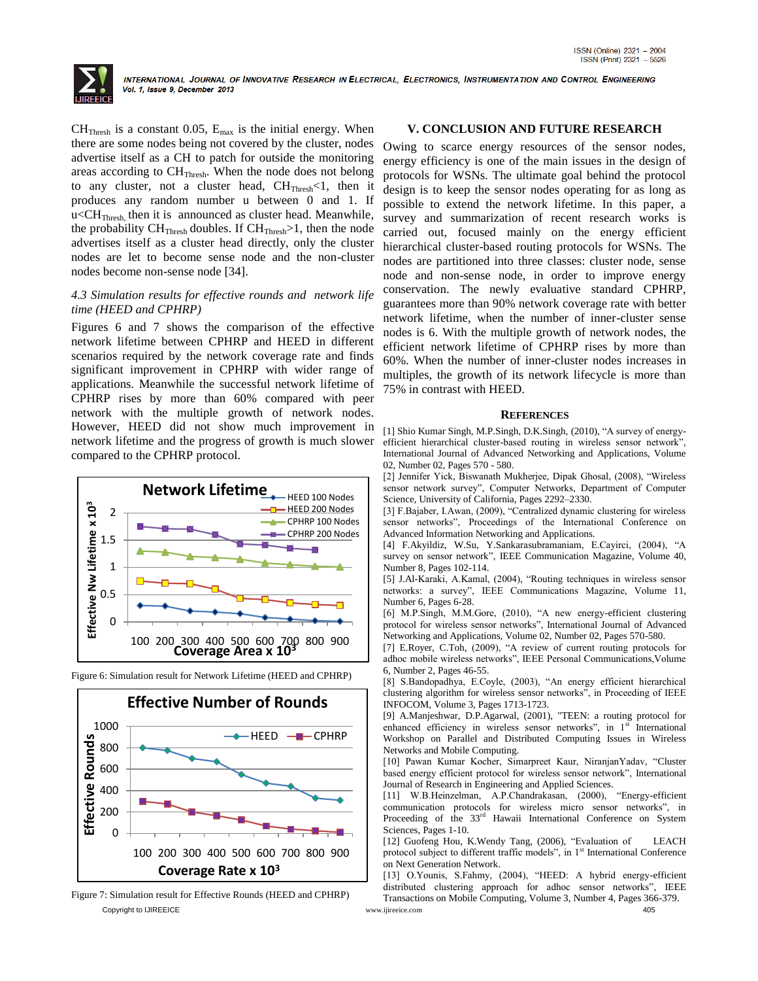

 $CH<sub>Thresh</sub>$  is a constant 0.05,  $E<sub>max</sub>$  is the initial energy. When there are some nodes being not covered by the cluster, nodes advertise itself as a CH to patch for outside the monitoring areas according to  $CH<sub>Thresh</sub>$ . When the node does not belong to any cluster, not a cluster head, CHThresh<1, then it produces any random number u between 0 and 1. If  $u < CH<sub>Thresh</sub>$ , then it is announced as cluster head. Meanwhile, the probability  $CH<sub>Thresh</sub>$  doubles. If  $CH<sub>Thresh</sub> > 1$ , then the node advertises itself as a cluster head directly, only the cluster nodes are let to become sense node and the non-cluster nodes become non-sense node [34].

# *4.3 Simulation results for effective rounds and network life time (HEED and CPHRP)*

Figures 6 and 7 shows the comparison of the effective network lifetime between CPHRP and HEED in different scenarios required by the network coverage rate and finds significant improvement in CPHRP with wider range of applications. Meanwhile the successful network lifetime of CPHRP rises by more than 60% compared with peer network with the multiple growth of network nodes. However, HEED did not show much improvement in network lifetime and the progress of growth is much slower compared to the CPHRP protocol.





Figure 6: Simulation result for Network Lifetime (HEED and CPHRP)

Copyright to IJIREEICE [www.ijireeice.com](http://www.ijireeice.com/) 405 Figure 7: Simulation result for Effective Rounds (HEED and CPHRP)

# **V. CONCLUSION AND FUTURE RESEARCH**

Owing to scarce energy resources of the sensor nodes, energy efficiency is one of the main issues in the design of protocols for WSNs. The ultimate goal behind the protocol design is to keep the sensor nodes operating for as long as possible to extend the network lifetime. In this paper, a survey and summarization of recent research works is carried out, focused mainly on the energy efficient hierarchical cluster-based routing protocols for WSNs. The nodes are partitioned into three classes: cluster node, sense node and non-sense node, in order to improve energy conservation. The newly evaluative standard CPHRP, guarantees more than 90% network coverage rate with better network lifetime, when the number of inner-cluster sense nodes is 6. With the multiple growth of network nodes, the efficient network lifetime of CPHRP rises by more than 60%. When the number of inner-cluster nodes increases in multiples, the growth of its network lifecycle is more than 75% in contrast with HEED.

### **REFERENCES**

[1] Shio Kumar Singh, M.P.Singh, D.K.Singh, (2010), "A survey of energyefficient hierarchical cluster-based routing in wireless sensor network", International Journal of Advanced Networking and Applications, Volume 02, Number 02, Pages 570 - 580.

[2] Jennifer Yick, Biswanath Mukherjee, Dipak Ghosal, (2008), "Wireless sensor network survey", Computer Networks, Department of Computer Science, University of California, Pages 2292–2330.

[3] F.Bajaber, I.Awan, (2009), "Centralized dynamic clustering for wireless sensor networks", Proceedings of the International Conference on Advanced Information Networking and Applications.

[4] F.Akyildiz, W.Su, Y.Sankarasubramaniam, E.Cayirci, (2004), "A survey on sensor network", IEEE Communication Magazine, Volume 40, Number 8, Pages 102-114.

[5] J.Al-Karaki, A.Kamal, (2004), "Routing techniques in wireless sensor networks: a survey", IEEE Communications Magazine, Volume 11, Number 6, Pages 6-28.

[6] M.P.Singh, M.M.Gore, (2010), "A new energy-efficient clustering protocol for wireless sensor networks", International Journal of Advanced Networking and Applications, Volume 02, Number 02, Pages 570-580.

[7] E.Royer, C.Toh, (2009), "A review of current routing protocols for adhoc mobile wireless networks", IEEE Personal Communications,Volume 6, Number 2, Pages 46-55.

[8] S.Bandopadhya, E.Coyle, (2003), "An energy efficient hierarchical clustering algorithm for wireless sensor networks", in Proceeding of IEEE INFOCOM, Volume 3, Pages 1713-1723.

[9] A.Manjeshwar, D.P.Agarwal, (2001), "TEEN: a routing protocol for enhanced efficiency in wireless sensor networks", in 1<sup>st</sup> International Workshop on Parallel and Distributed Computing Issues in Wireless Networks and Mobile Computing.

[10] Pawan Kumar Kocher, Simarpreet Kaur, NiranjanYadav, "Cluster based energy efficient protocol for wireless sensor network", International Journal of Research in Engineering and Applied Sciences.

[11] W.B.Heinzelman, A.P.Chandrakasan, (2000), "Energy-efficient communication protocols for wireless micro sensor networks", in Proceeding of the 33<sup>rd</sup> Hawaii International Conference on System Sciences, Pages 1-10.

[12] Guofeng Hou, K.Wendy Tang, (2006), "Evaluation of LEACH protocol subject to different traffic models", in 1<sup>st</sup> International Conference on Next Generation Network.

[13] O.Younis, S.Fahmy, (2004), "HEED: A hybrid energy-efficient distributed clustering approach for adhoc sensor networks", IEEE Transactions on Mobile Computing, Volume 3, Number 4, Pages 366-379.